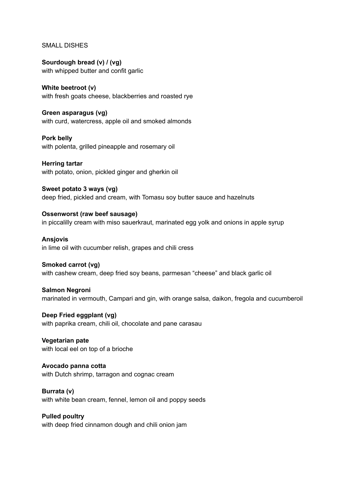## SMALL DISHES

**Sourdough bread (v) / (vg)** with whipped butter and confit garlic

**White beetroot (v)** with fresh goats cheese, blackberries and roasted rye

**Green asparagus (vg)** with curd, watercress, apple oil and smoked almonds

**Pork belly** with polenta, grilled pineapple and rosemary oil

**Herring tartar** with potato, onion, pickled ginger and gherkin oil

**Sweet potato 3 ways (vg)** deep fried, pickled and cream, with Tomasu soy butter sauce and hazelnuts

**Ossenworst (raw beef sausage)** in piccalilly cream with miso sauerkraut, marinated egg yolk and onions in apple syrup

**Ansjovis** in lime oil with cucumber relish, grapes and chili cress

## **Smoked carrot (vg)**

with cashew cream, deep fried soy beans, parmesan "cheese" and black garlic oil

## **Salmon Negroni**

marinated in vermouth, Campari and gin, with orange salsa, daikon, fregola and cucumberoil

**Deep Fried eggplant (vg)** with paprika cream, chili oil, chocolate and pane carasau

**Vegetarian pate** with local eel on top of a brioche

**Avocado panna cotta** with Dutch shrimp, tarragon and cognac cream

**Burrata (v)** with white bean cream, fennel, lemon oil and poppy seeds

**Pulled poultry** with deep fried cinnamon dough and chili onion jam